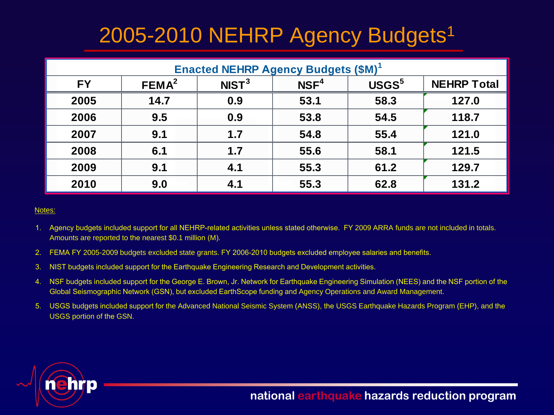### 2005-2010 NEHRP Agency Budgets<sup>1</sup>

| <b>Enacted NEHRP Agency Budgets (\$M)</b> <sup>1</sup> |                   |                   |                  |                   |                    |  |  |
|--------------------------------------------------------|-------------------|-------------------|------------------|-------------------|--------------------|--|--|
| <b>FY</b>                                              | FEMA <sup>2</sup> | NIST <sup>3</sup> | NSF <sup>4</sup> | USGS <sup>5</sup> | <b>NEHRP Total</b> |  |  |
| 2005                                                   | 14.7              | 0.9               | 53.1             | 58.3              | 127.0              |  |  |
| 2006                                                   | 9.5               | 0.9               | 53.8             | 54.5              | 118.7              |  |  |
| 2007                                                   | 9.1               | 1.7               | 54.8             | 55.4              | 121.0              |  |  |
| 2008                                                   | 6.1               | 1.7               | 55.6             | 58.1              | 121.5              |  |  |
| 2009                                                   | 9.1               | 4.1               | 55.3             | 61.2              | 129.7              |  |  |
| 2010                                                   | 9.0               | 4.1               | 55.3             | 62.8              | 131.2              |  |  |

### Notes:

- 1. Agency budgets included support for all NEHRP-related activities unless stated otherwise. FY 2009 ARRA funds are not included in totals. Amounts are reported to the nearest \$0.1 million (M).
- 2. FEMA FY 2005-2009 budgets excluded state grants. FY 2006-2010 budgets excluded employee salaries and benefits.
- 3. NIST budgets included support for the Earthquake Engineering Research and Development activities.
- 4. NSF budgets included support for the George E. Brown, Jr. Network for Earthquake Engineering Simulation (NEES) and the NSF portion of the Global Seismographic Network (GSN), but excluded EarthScope funding and Agency Operations and Award Management.
- 5. USGS budgets included support for the Advanced National Seismic System (ANSS), the USGS Earthquake Hazards Program (EHP), and the USGS portion of the GSN.

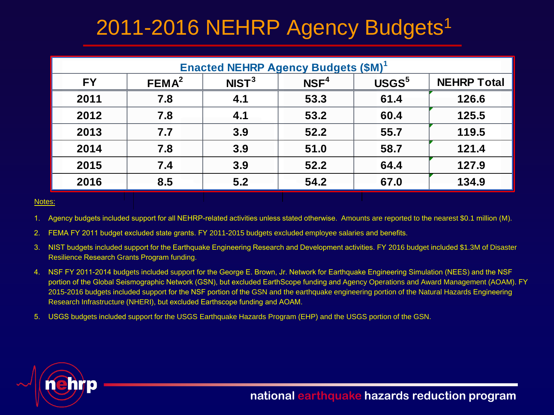# 2011-2016 NEHRP Agency Budgets<sup>1</sup>

| <b>Enacted NEHRP Agency Budgets (\$M)</b> |                   |                   |                  |                   |                    |  |  |
|-------------------------------------------|-------------------|-------------------|------------------|-------------------|--------------------|--|--|
| FY                                        | FEMA <sup>2</sup> | NIST <sup>3</sup> | NSF <sup>4</sup> | USGS <sup>5</sup> | <b>NEHRP Total</b> |  |  |
| 2011                                      | 7.8               | 4.1               | 53.3             | 61.4              | 126.6              |  |  |
| 2012                                      | 7.8               | 4.1               | 53.2             | 60.4              | 125.5              |  |  |
| 2013                                      | 7.7               | 3.9               | 52.2             | 55.7              | 119.5              |  |  |
| 2014                                      | 7.8               | 3.9               | 51.0             | 58.7              | 121.4              |  |  |
| 2015                                      | 7.4               | 3.9               | 52.2             | 64.4              | 127.9              |  |  |
| 2016                                      | 8.5               | 5.2               | 54.2             | 67.0              | 134.9              |  |  |

#### Notes:

1. Agency budgets included support for all NEHRP-related activities unless stated otherwise. Amounts are reported to the nearest \$0.1 million (M).

2. FEMA FY 2011 budget excluded state grants. FY 2011-2015 budgets excluded employee salaries and benefits.

- 3. NIST budgets included support for the Earthquake Engineering Research and Development activities. FY 2016 budget included \$1.3M of Disaster Resilience Research Grants Program funding.
- 4. NSF FY 2011-2014 budgets included support for the George E. Brown, Jr. Network for Earthquake Engineering Simulation (NEES) and the NSF portion of the Global Seismographic Network (GSN), but excluded EarthScope funding and Agency Operations and Award Management (AOAM). FY 2015-2016 budgets included support for the NSF portion of the GSN and the earthquake engineering portion of the Natural Hazards Engineering Research Infrastructure (NHERI), but excluded Earthscope funding and AOAM.
- 5. USGS budgets included support for the USGS Earthquake Hazards Program (EHP) and the USGS portion of the GSN.